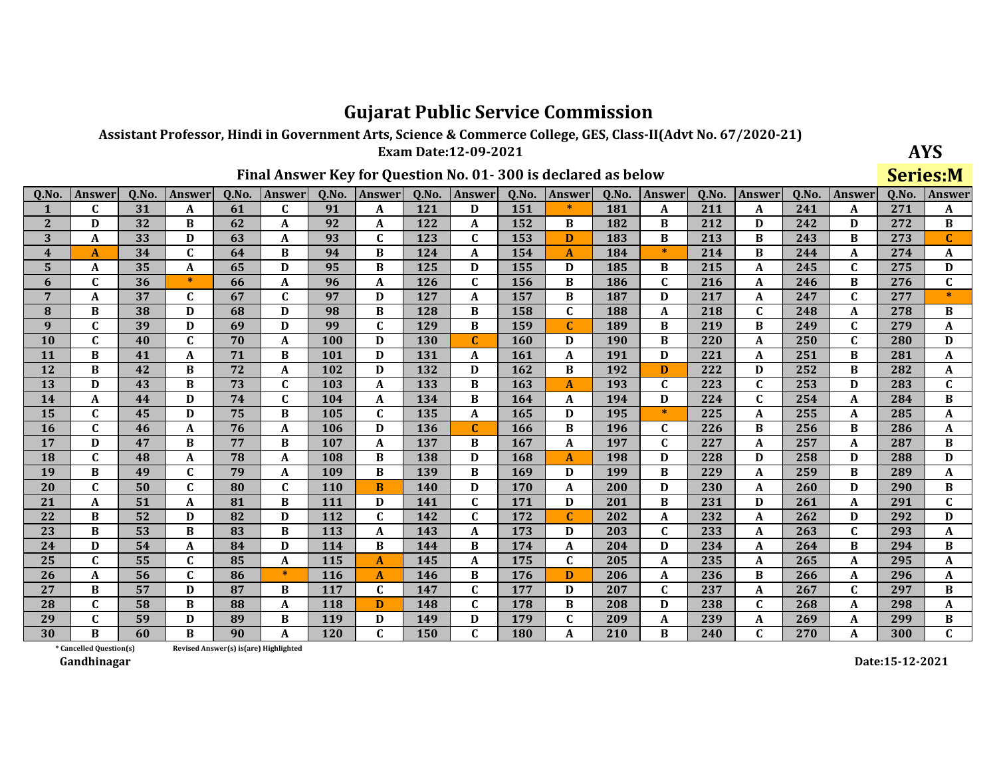Assistant Professor, Hindi in Government Arts, Science & Commerce College, GES, Class-II(Advt No. 67/2020-21)

Exam Date:12-09-2021 Final Answer Key for Question No. 01-300 is declared as below

| <b>AYS</b> |
|------------|
| Sariac•M   |

|                         |                         |       |               |       |                                       |       |               |            |               |       |              |            |               |       |                  |       |               | ---   | -----                     |
|-------------------------|-------------------------|-------|---------------|-------|---------------------------------------|-------|---------------|------------|---------------|-------|--------------|------------|---------------|-------|------------------|-------|---------------|-------|---------------------------|
| 0.No.                   | <b>Answer</b>           | 0.No. | <b>Answer</b> | 0.No. | <b>Answer</b>                         | 0.No. | <b>Answer</b> | 0.No.      | <b>Answer</b> | 0.No. | Answer       | 0.No.      | <b>Answer</b> | 0.No. | <b>Answer</b>    | 0.No. | <b>Answer</b> | 0.No. | Answer                    |
| 1                       | C                       | 31    | A             | 61    | $\mathbf{C}$                          | 91    | A             | 121        | D             | 151   | $\ast$       | 181        | A             | 211   | A                | 241   | A             | 271   | A                         |
| $\mathbf{2}$            | D                       | 32    | B             | 62    | A                                     | 92    | A             | 122        | A             | 152   | B            | 182        | B             | 212   | D                | 242   | D             | 272   | B                         |
| 3                       | A                       | 33    | D             | 63    | A                                     | 93    | $\mathbf C$   | 123        | $\mathbf C$   | 153   | D            | 183        | B             | 213   | B                | 243   | B             | 273   | $\mathbf C$               |
| $\overline{\mathbf{4}}$ | A                       | 34    | $\mathbf{C}$  | 64    | B                                     | 94    | B             | 124        | A             | 154   | $\mathbf{A}$ | 184        | $\ast$        | 214   | B                | 244   | A             | 274   | A                         |
| 5                       | A                       | 35    | A             | 65    | D                                     | 95    | B             | 125        | D             | 155   | D            | 185        | B             | 215   | A                | 245   | $\mathbf{C}$  | 275   | D                         |
| 6                       | $\mathbf{C}$            | 36    | $\ast$        | 66    | $\mathbf A$                           | 96    | $\mathbf A$   | 126        | $\mathbf{C}$  | 156   | B            | 186        | $\mathbf{C}$  | 216   | A                | 246   | B             | 276   | $\overline{c}$            |
| 7                       | A                       | 37    | $\mathbf{C}$  | 67    | $\mathbf C$                           | 97    | D             | 127        | A             | 157   | B            | 187        | D             | 217   | A                | 247   | C             | 277   | $\ast$                    |
| 8                       | B                       | 38    | D             | 68    | D                                     | 98    | B             | 128        | B             | 158   | $\mathbf C$  | 188        | A             | 218   | $\mathbf{C}$     | 248   | A             | 278   | B                         |
| 9                       | C                       | 39    | D             | 69    | D                                     | 99    | $\mathbf{C}$  | 129        | B             | 159   | $\mathbf C$  | 189        | B             | 219   | B                | 249   | $\mathbf{C}$  | 279   | A                         |
| 10                      | C                       | 40    | $\mathbf{C}$  | 70    | A                                     | 100   | D             | 130        | C             | 160   | D            | <b>190</b> | B             | 220   | A                | 250   | $\mathbf{C}$  | 280   | D                         |
| 11                      | B                       | 41    | $\mathbf{A}$  | 71    | B                                     | 101   | D             | 131        | A             | 161   | A            | 191        | D             | 221   | A                | 251   | B             | 281   | A                         |
| 12                      | B                       | 42    | B             | 72    | A                                     | 102   | D             | 132        | D             | 162   | B            | 192        | D             | 222   | D                | 252   | B             | 282   | A                         |
| 13                      | D                       | 43    | B             | 73    | $\mathbf{C}$                          | 103   | A             | 133        | B             | 163   | $\mathbf{A}$ | 193        | C             | 223   | $\mathbf C$      | 253   | D             | 283   | $\mathbf{C}$              |
| 14                      | $\mathbf{A}$            | 44    | D             | 74    | $\mathbf{C}$                          | 104   | $\mathbf A$   | 134        | B             | 164   | A            | 194        | D             | 224   | $\mathbf{C}$     | 254   | A             | 284   | $\, {\bf B}$              |
| 15                      | $\mathbf{C}$            | 45    | D             | 75    | B                                     | 105   | $\mathbf C$   | 135        | A             | 165   | D            | 195        | $*$           | 225   | $\boldsymbol{A}$ | 255   | A             | 285   | $\boldsymbol{\mathsf{A}}$ |
| <b>16</b>               | $\mathbf C$             | 46    | A             | 76    | A                                     | 106   | D             | 136        | $\mathbf C$   | 166   | B            | 196        | $\mathbf{C}$  | 226   | B                | 256   | B             | 286   | A                         |
| 17                      | D                       | 47    | B             | 77    | B                                     | 107   | $\mathbf A$   | 137        | B             | 167   | $\mathbf A$  | 197        | $\mathbf{C}$  | 227   | A                | 257   | A             | 287   | B                         |
| 18                      | $\mathbf C$             | 48    | A             | 78    | A                                     | 108   | $\, {\bf B}$  | 138        | D             | 168   | $\mathbf{A}$ | 198        | D             | 228   | D                | 258   | D             | 288   | $\mathbf D$               |
| 19                      | B                       | 49    | $\mathbf C$   | 79    | A                                     | 109   | B             | 139        | B             | 169   | D            | 199        | B             | 229   | A                | 259   | B             | 289   | A                         |
| 20                      | C                       | 50    | $\mathbf{C}$  | 80    | $\mathbf{C}$                          | 110   | B             | 140        | D             | 170   | A            | 200        | D             | 230   | A                | 260   | D             | 290   | B                         |
| 21                      | A                       | 51    | A             | 81    | B                                     | 111   | D             | 141        | $\mathbf{C}$  | 171   | D            | 201        | B             | 231   | D                | 261   | A             | 291   | $\mathbf{C}$              |
| 22                      | B                       | 52    | D             | 82    | D                                     | 112   | $\mathbf C$   | 142        | $\mathbf{C}$  | 172   | $\mathbf C$  | 202        | A             | 232   | A                | 262   | D             | 292   | D                         |
| 23                      | B                       | 53    | B             | 83    | B                                     | 113   | A             | 143        | A             | 173   | D            | 203        | $\mathbf C$   | 233   | A                | 263   | $\mathbf{C}$  | 293   | A                         |
| 24                      | D                       | 54    | A             | 84    | D                                     | 114   | B             | 144        | B             | 174   | A            | 204        | D             | 234   | A                | 264   | B             | 294   | B                         |
| 25                      | $\mathbf{C}$            | 55    | $\mathbf C$   | 85    | A                                     | 115   | $\mathbf{A}$  | 145        | A             | 175   | $\mathbf C$  | 205        | A             | 235   | A                | 265   | A             | 295   | A                         |
| 26                      | A                       | 56    | $\mathbf{C}$  | 86    | $\ast$                                | 116   | $\mathbf{A}$  | 146        | B             | 176   | D            | 206        | A             | 236   | B                | 266   | A             | 296   | A                         |
| 27                      | <sub>R</sub>            | 57    | D             | 87    | B.                                    | 117   | $\mathbf{C}$  | 147        | $\mathbf{C}$  | 177   | D            | 207        | $\mathbf{C}$  | 237   | A                | 267   | $\mathbf{C}$  | 297   | B                         |
| 28                      | $\mathbf C$             | 58    | B             | 88    | A                                     | 118   | D             | 148        | $\mathbf{C}$  | 178   | B            | 208        | D             | 238   | $\mathbf C$      | 268   | A             | 298   | A                         |
| 29                      | C                       | 59    | D             | 89    | B                                     | 119   | D             | 149        | D             | 179   | $\mathbf C$  | 209        | A             | 239   | A                | 269   | A             | 299   | B                         |
| 30                      | R                       | 60    | B             | 90    | A                                     | 120   | $\mathbf{C}$  | <b>150</b> | $\mathbf C$   | 180   | A            | 210        | B             | 240   | $\mathbf{C}$     | 270   | A             | 300   | $\mathbf C$               |
|                         | * Cancelled Ouestion(s) |       |               |       | Revised Answer(s) is(are) Highlighted |       |               |            |               |       |              |            |               |       |                  |       |               |       |                           |

Revised Answer(s) is(are) Highlighted

Gandhinagar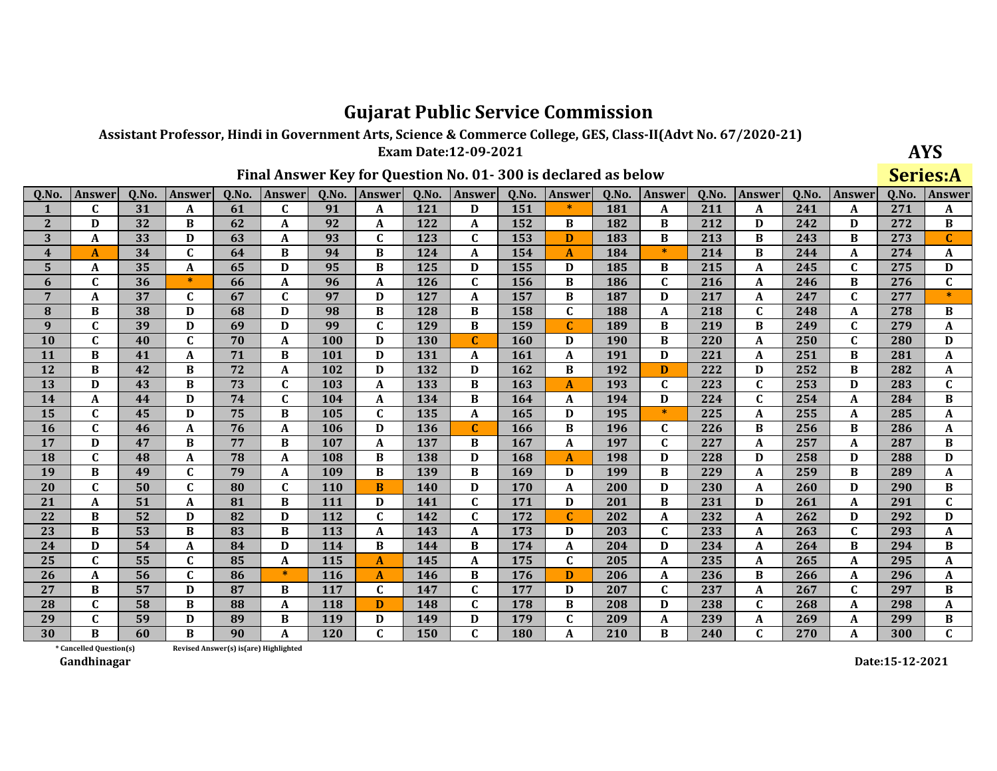Assistant Professor, Hindi in Government Arts, Science & Commerce College, GES, Class-II(Advt No. 67/2020-21)

Exam Date:12-09-2021 Final Answer Key for Question No. 01-300 is declared as below

| AYS      |
|----------|
| Sariac•A |

|                         |                         |       |               |       |                                       |       |               |            |               |       |              |            |               |       |               |       |               | ---   | ----                      |
|-------------------------|-------------------------|-------|---------------|-------|---------------------------------------|-------|---------------|------------|---------------|-------|--------------|------------|---------------|-------|---------------|-------|---------------|-------|---------------------------|
| 0.No.                   | <b>Answer</b>           | 0.No. | <b>Answer</b> | 0.No. | <b>Answer</b>                         | 0.No. | <b>Answer</b> | 0.No.      | <b>Answer</b> | 0.No. | Answer       | 0.No.      | <b>Answer</b> | 0.No. | <b>Answer</b> | 0.No. | <b>Answer</b> | 0.No. | Answer                    |
| 1                       | C                       | 31    | A             | 61    | $\mathbf{C}$                          | 91    | A             | 121        | D             | 151   | $\ast$       | 181        | A             | 211   | A             | 241   | A             | 271   | A                         |
| $\mathbf{2}$            | D                       | 32    | B             | 62    | A                                     | 92    | A             | 122        | A             | 152   | B            | 182        | B             | 212   | D             | 242   | D             | 272   | B                         |
| 3                       | A                       | 33    | D             | 63    | A                                     | 93    | $\mathbf C$   | 123        | $\mathbf C$   | 153   | D            | 183        | B             | 213   | B             | 243   | B             | 273   | $\mathbf C$               |
| $\overline{\mathbf{4}}$ | A                       | 34    | $\mathbf{C}$  | 64    | B                                     | 94    | B             | 124        | A             | 154   | $\mathbf{A}$ | 184        | $\ast$        | 214   | B             | 244   | A             | 274   | A                         |
| 5                       | A                       | 35    | A             | 65    | D                                     | 95    | B             | 125        | D             | 155   | D            | 185        | B             | 215   | A             | 245   | $\mathbf{C}$  | 275   | D                         |
| 6                       | $\mathbf{C}$            | 36    | $\ast$        | 66    | $\mathbf A$                           | 96    | $\mathbf A$   | 126        | $\mathbf{C}$  | 156   | B            | 186        | $\mathbf{C}$  | 216   | A             | 246   | B             | 276   | $\overline{c}$            |
| 7                       | A                       | 37    | $\mathbf{C}$  | 67    | $\mathbf C$                           | 97    | D             | 127        | A             | 157   | B            | 187        | D             | 217   | A             | 247   | C             | 277   | $\ast$                    |
| 8                       | B                       | 38    | D             | 68    | D                                     | 98    | B             | 128        | B             | 158   | $\mathbf C$  | 188        | A             | 218   | $\mathbf{C}$  | 248   | A             | 278   | B                         |
| 9                       | C                       | 39    | D             | 69    | D                                     | 99    | $\mathbf{C}$  | 129        | B             | 159   | $\mathbf C$  | 189        | B             | 219   | B             | 249   | $\mathbf{C}$  | 279   | A                         |
| 10                      | C                       | 40    | $\mathbf{C}$  | 70    | A                                     | 100   | D             | 130        | C             | 160   | D            | <b>190</b> | B             | 220   | A             | 250   | $\mathbf{C}$  | 280   | D                         |
| 11                      | B                       | 41    | $\mathbf{A}$  | 71    | B                                     | 101   | D             | 131        | A             | 161   | A            | 191        | D             | 221   | A             | 251   | B             | 281   | A                         |
| 12                      | B                       | 42    | B             | 72    | A                                     | 102   | D             | 132        | D             | 162   | B            | 192        | D             | 222   | D             | 252   | B             | 282   | A                         |
| 13                      | D                       | 43    | B             | 73    | $\mathbf{C}$                          | 103   | A             | 133        | B             | 163   | $\mathbf{A}$ | 193        | C             | 223   | $\mathbf C$   | 253   | D             | 283   | $\mathbf{C}$              |
| 14                      | $\mathbf{A}$            | 44    | D             | 74    | $\mathbf{C}$                          | 104   | $\mathbf A$   | 134        | B             | 164   | A            | 194        | D             | 224   | $\mathbf{C}$  | 254   | A             | 284   | $\, {\bf B}$              |
| 15                      | $\mathbf{C}$            | 45    | D             | 75    | B                                     | 105   | $\mathbf C$   | 135        | A             | 165   | D            | 195        | $*$           | 225   | A             | 255   | A             | 285   | $\boldsymbol{\mathsf{A}}$ |
| <b>16</b>               | $\mathbf C$             | 46    | A             | 76    | A                                     | 106   | D             | 136        | $\mathbf C$   | 166   | B            | 196        | $\mathbf{C}$  | 226   | B             | 256   | B             | 286   | A                         |
| 17                      | D                       | 47    | B             | 77    | B                                     | 107   | $\mathbf A$   | 137        | B             | 167   | $\mathbf A$  | 197        | $\mathbf{C}$  | 227   | A             | 257   | A             | 287   | B                         |
| 18                      | $\mathbf C$             | 48    | A             | 78    | A                                     | 108   | $\, {\bf B}$  | 138        | D             | 168   | $\mathbf{A}$ | 198        | D             | 228   | D             | 258   | D             | 288   | $\mathbf D$               |
| 19                      | B                       | 49    | $\mathbf C$   | 79    | A                                     | 109   | B             | 139        | B             | 169   | D            | 199        | B             | 229   | A             | 259   | B             | 289   | A                         |
| 20                      | C                       | 50    | $\mathbf{C}$  | 80    | $\mathbf{C}$                          | 110   | B             | 140        | D             | 170   | A            | 200        | D             | 230   | A             | 260   | D             | 290   | B                         |
| 21                      | A                       | 51    | A             | 81    | B                                     | 111   | D             | 141        | $\mathbf{C}$  | 171   | D            | 201        | B             | 231   | D             | 261   | A             | 291   | $\mathbf{C}$              |
| 22                      | B                       | 52    | D             | 82    | D                                     | 112   | $\mathbf C$   | 142        | $\mathbf{C}$  | 172   | $\mathbf C$  | 202        | A             | 232   | A             | 262   | D             | 292   | D                         |
| 23                      | B                       | 53    | B             | 83    | B                                     | 113   | A             | 143        | A             | 173   | D            | 203        | $\mathbf C$   | 233   | A             | 263   | $\mathbf{C}$  | 293   | A                         |
| 24                      | D                       | 54    | A             | 84    | D                                     | 114   | B             | 144        | B             | 174   | A            | 204        | D             | 234   | A             | 264   | B             | 294   | B                         |
| 25                      | $\mathbf{C}$            | 55    | $\mathbf C$   | 85    | A                                     | 115   | $\mathbf{A}$  | 145        | A             | 175   | $\mathbf C$  | 205        | A             | 235   | A             | 265   | A             | 295   | A                         |
| 26                      | A                       | 56    | $\mathbf{C}$  | 86    | $\ast$                                | 116   | $\mathbf{A}$  | 146        | B             | 176   | D            | 206        | A             | 236   | B             | 266   | A             | 296   | A                         |
| 27                      | <sub>R</sub>            | 57    | D             | 87    | B.                                    | 117   | $\mathbf{C}$  | 147        | $\mathbf{C}$  | 177   | D            | 207        | $\mathbf{C}$  | 237   | A             | 267   | $\mathbf{C}$  | 297   | B                         |
| 28                      | $\mathbf C$             | 58    | B             | 88    | A                                     | 118   | D             | 148        | $\mathbf{C}$  | 178   | B            | 208        | D             | 238   | $\mathbf C$   | 268   | A             | 298   | A                         |
| 29                      | C                       | 59    | D             | 89    | B                                     | 119   | D             | 149        | D             | 179   | $\mathbf C$  | 209        | A             | 239   | A             | 269   | A             | 299   | B                         |
| 30                      | R                       | 60    | B             | 90    | A                                     | 120   | $\mathbf{C}$  | <b>150</b> | $\mathbf C$   | 180   | A            | 210        | B             | 240   | $\mathbf{C}$  | 270   | A             | 300   | $\mathbf C$               |
|                         | * Cancelled Ouestion(s) |       |               |       | Revised Answer(s) is(are) Highlighted |       |               |            |               |       |              |            |               |       |               |       |               |       |                           |

Revised Answer(s) is(are) Highlighted

Gandhinagar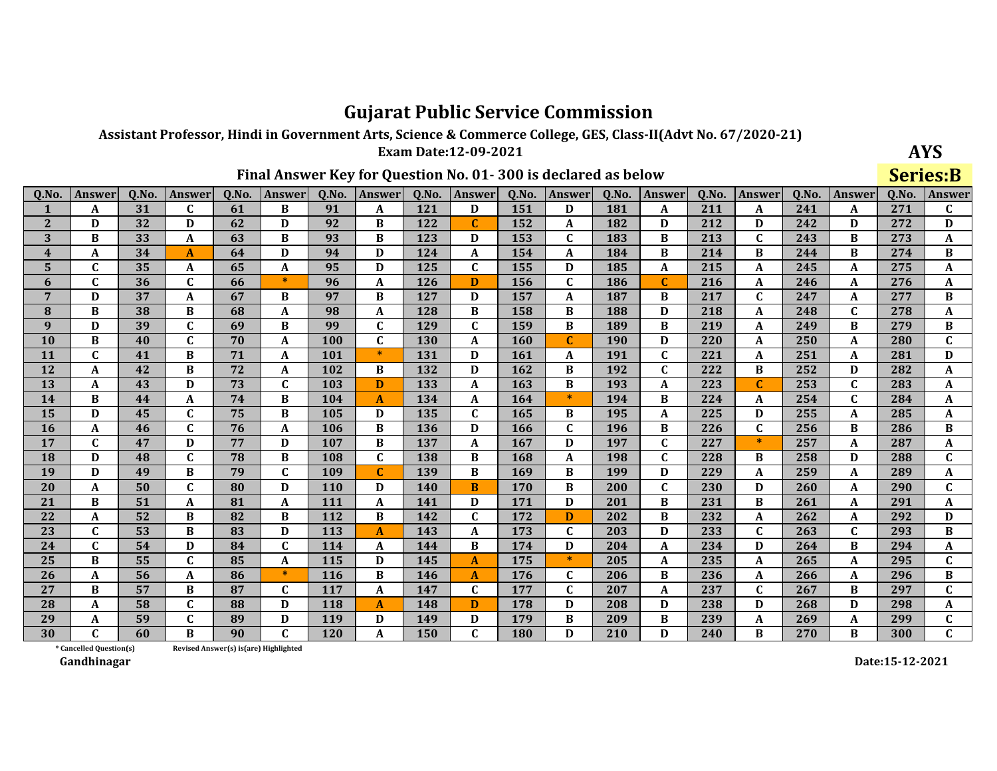Assistant Professor, Hindi in Government Arts, Science & Commerce College, GES, Class-II(Advt No. 67/2020-21)

Exam Date:12-09-2021 Final Answer Key for Question No. 01-300 is declared as below

| <b>AYS</b> |
|------------|
| Sariac•R   |

|                         |                         |       |                |       |                                       |            |                |            |              |       |               |       |               |       |               |       |              | ◡◡▴   | $\sim$         |
|-------------------------|-------------------------|-------|----------------|-------|---------------------------------------|------------|----------------|------------|--------------|-------|---------------|-------|---------------|-------|---------------|-------|--------------|-------|----------------|
| 0.No.                   | <b>Answer</b>           | 0.No. | <b>Answer</b>  | 0.No. | <b>Answer</b>                         | 0.No.      | <b>Answer</b>  | 0.No.      | Answer       | 0.No. | <b>Answer</b> | 0.No. | <b>Answer</b> | 0.No. | <b>Answer</b> | 0.No. | Answer       | 0.No. | Answer         |
| 1                       | A                       | 31    | $\mathbf{C}$   | 61    | B                                     | 91         | A              | 121        | D            | 151   | D             | 181   | $\mathbf{A}$  | 211   | A             | 241   | A            | 271   | $\mathbf C$    |
| $\overline{2}$          | D                       | 32    | D              | 62    | D                                     | 92         | B              | 122        | $\mathbf C$  | 152   | A             | 182   | D             | 212   | D             | 242   | D            | 272   | D              |
| 3                       | B                       | 33    | A              | 63    | B                                     | 93         | B              | 123        | D            | 153   | $\mathbf C$   | 183   | B             | 213   | $\mathbf{C}$  | 243   | B            | 273   | A              |
| $\overline{\mathbf{4}}$ | A                       | 34    | $\mathbf{A}$   | 64    | D                                     | 94         | D              | 124        | A            | 154   | A             | 184   | B             | 214   | B             | 244   | B            | 274   | B              |
| 5                       | $\mathbf{C}$            | 35    | A              | 65    | A                                     | 95         | D              | 125        | $\mathbf C$  | 155   | D             | 185   | A             | 215   | A             | 245   | A            | 275   | A              |
| 6                       | $\mathbf C$             | 36    | $\mathbf C$    | 66    | $\ast$                                | 96         | A              | <b>126</b> | D            | 156   | $\mathbf C$   | 186   | $\mathbf C$   | 216   | A             | 246   | A            | 276   | A              |
| $\overline{7}$          | D                       | 37    | A              | 67    | B                                     | 97         | B              | 127        | D            | 157   | A             | 187   | B             | 217   | $\mathbf C$   | 247   | A            | 277   | B              |
| 8                       | B                       | 38    | B              | 68    | A                                     | 98         | A              | 128        | B            | 158   | B             | 188   | D             | 218   | A             | 248   | $\mathbf C$  | 278   | A              |
| 9                       | D                       | 39    | $\overline{c}$ | 69    | B                                     | 99         | $\overline{c}$ | 129        | $\mathbf{C}$ | 159   | B             | 189   | $\bf{B}$      | 219   | $\mathbf A$   | 249   | B            | 279   | $\overline{B}$ |
| 10                      | B                       | 40    | $\mathbf{C}$   | 70    | A                                     | <b>100</b> | $\mathbf{C}$   | 130        | A            | 160   | C             | 190   | D             | 220   | A             | 250   | A            | 280   | $\mathbf{C}$   |
| 11                      | $\mathbf{C}$            | 41    | B              | 71    | A                                     | 101        | $\ast$         | 131        | D            | 161   | A             | 191   | $\mathbf{C}$  | 221   | A             | 251   | A            | 281   | D              |
| 12                      | A                       | 42    | B              | 72    | A                                     | 102        | B              | 132        | D            | 162   | B             | 192   | $\mathbf{C}$  | 222   | B             | 252   | D            | 282   | A              |
| 13                      | A                       | 43    | D              | 73    | $\mathbf{C}$                          | 103        | D              | 133        | A            | 163   | B             | 193   | A             | 223   | $\mathbf C$   | 253   | $\mathbf C$  | 283   | A              |
| 14                      | B                       | 44    | A              | 74    | B                                     | 104        | $\mathbf{A}$   | 134        | A            | 164   | $\ast$        | 194   | B             | 224   | A             | 254   | $\mathbf C$  | 284   | A              |
| 15                      | D                       | 45    | $\mathbf C$    | 75    | B                                     | 105        | D              | 135        | $\mathbf{C}$ | 165   | B             | 195   | A             | 225   | D             | 255   | A            | 285   | A              |
| <b>16</b>               | A                       | 46    | $\mathbf{C}$   | 76    | A                                     | 106        | B              | 136        | D            | 166   | C             | 196   | B             | 226   | $\mathbf C$   | 256   | B            | 286   | B              |
| 17                      | $\mathbf{C}$            | 47    | D              | 77    | D                                     | 107        | B              | 137        | A            | 167   | D             | 197   | $\mathbf{C}$  | 227   | $\ast$        | 257   | A            | 287   | A              |
| 18                      | D                       | 48    | $\mathbf{C}$   | 78    | B                                     | 108        | $\mathbf C$    | 138        | B            | 168   | A             | 198   | $\mathbf{C}$  | 228   | B             | 258   | D            | 288   | $\mathbf{C}$   |
| 19                      | D                       | 49    | B              | 79    | $\mathbf{C}$                          | 109        | $\mathbf C$    | 139        | B            | 169   | B             | 199   | D             | 229   | A             | 259   | A            | 289   | A              |
| 20                      | A                       | 50    | $\mathbf C$    | 80    | D                                     | 110        | D              | 140        | B            | 170   | B             | 200   | $\mathbf{C}$  | 230   | D             | 260   | A            | 290   | $\mathbf C$    |
| 21                      | B                       | 51    | A              | 81    | A                                     | 111        | A              | 141        | D            | 171   | D             | 201   | B             | 231   | B             | 261   | A            | 291   | A              |
| 22                      | A                       | 52    | B              | 82    | B                                     | 112        | B              | 142        | $\mathbf{C}$ | 172   | D             | 202   | B             | 232   | A             | 262   | A            | 292   | D              |
| 23                      | $\mathbf{C}$            | 53    | B              | 83    | D                                     | 113        | $\mathbf{A}$   | 143        | A            | 173   | $\mathbf{C}$  | 203   | D             | 233   | $\mathbf{C}$  | 263   | $\mathbf{C}$ | 293   | B              |
| 24                      | $\mathbf C$             | 54    | D              | 84    | $\mathbf{C}$                          | 114        | A              | 144        | B            | 174   | D             | 204   | A             | 234   | D             | 264   | B            | 294   | A              |
| 25                      | B                       | 55    | $\mathbf C$    | 85    | A                                     | 115        | D              | 145        | $\mathbf{A}$ | 175   | $\ast$        | 205   | A             | 235   | A             | 265   | A            | 295   | $\mathbf C$    |
| 26                      | A                       | 56    | A              | 86    | $*$                                   | 116        | B              | 146        | A            | 176   | $\mathbf{C}$  | 206   | B             | 236   | A             | 266   | A            | 296   | $\bf{B}$       |
| 27                      | B                       | 57    | B              | 87    | $\mathbf{C}$                          | 117        | $\mathbf A$    | 147        | $\mathbf{C}$ | 177   | C             | 207   | A             | 237   | $\mathbf C$   | 267   | B            | 297   | $\mathbf C$    |
| 28                      | A                       | 58    | C              | 88    | D                                     | 118        | $\mathbf{A}$   | 148        | D            | 178   | D             | 208   | D             | 238   | D             | 268   | D            | 298   | A              |
| 29                      | A                       | 59    | $\mathbf C$    | 89    | D                                     | 119        | D              | 149        | D            | 179   | B             | 209   | B             | 239   | A             | 269   | A            | 299   | $\mathbf{C}$   |
| 30                      | C                       | 60    | <sub>R</sub>   | 90    | $\mathbf{C}$                          | 120        | A              | 150        | C            | 180   | D             | 210   | D             | 240   | B             | 270   | B            | 300   | $\mathbf C$    |
|                         | * Cancelled Question(s) |       |                |       | Revised Answer(s) is(are) Highlighted |            |                |            |              |       |               |       |               |       |               |       |              |       |                |

Revised Answer(s) is(are) Highlighted

Gandhinagar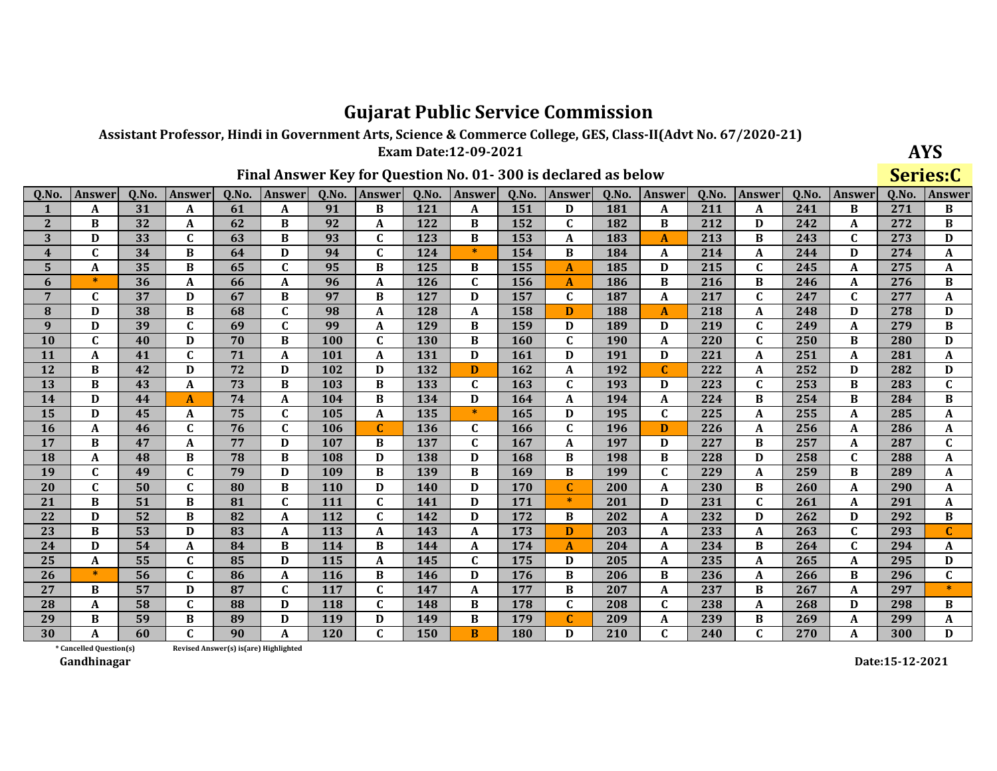Assistant Professor, Hindi in Government Arts, Science & Commerce College, GES, Class-II(Advt No. 67/2020-21)

Exam Date:12-09-2021

| AYS      |
|----------|
| Sariac:C |

|                         |                         |                 |                  |       |                                       |            |              |       |               |            |               |            |              |       |               |       |              | ◡◡    | ----         |
|-------------------------|-------------------------|-----------------|------------------|-------|---------------------------------------|------------|--------------|-------|---------------|------------|---------------|------------|--------------|-------|---------------|-------|--------------|-------|--------------|
| 0.No.                   | <b>Answer</b>           | 0.No.           | <b>Answer</b>    | 0.No. | <b>Answer</b>                         | 0.No.      | Answer       | 0.No. | <b>Answer</b> | 0.No.      | <b>Answer</b> | 0.No.      | Answer       | 0.No. | <b>Answer</b> | 0.No. | Answer       | 0.No. | Answer       |
| $\mathbf{1}$            | A                       | 31              | A                | 61    | $\mathbf{A}$                          | 91         | B            | 121   | A             | 151        | D             | 181        | A            | 211   | A             | 241   | B            | 271   | B            |
| $\overline{2}$          | B                       | 32              | A                | 62    | B                                     | 92         | A            | 122   | B             | 152        | $\mathbf C$   | 182        | B            | 212   | D             | 242   | A            | 272   | B            |
| 3                       | D                       | 33              | $\mathbf{C}$     | 63    | B                                     | 93         | $\mathbf C$  | 123   | B             | 153        | A             | 183        | $\mathbf{A}$ | 213   | B             | 243   | $\mathbf C$  | 273   | D            |
| $\overline{\mathbf{4}}$ | $\mathbf C$             | 34              | B                | 64    | D                                     | 94         | $\mathbf{C}$ | 124   | $\ast$        | 154        | B             | 184        | A            | 214   | A             | 244   | D            | 274   | A            |
| 5                       | A                       | 35              | B                | 65    | $\mathbf{C}$                          | 95         | B            | 125   | B             | 155        | A             | 185        | D            | 215   | $\mathbf{C}$  | 245   | A            | 275   | A            |
| 6                       | $\ast$                  | $\overline{36}$ | A                | 66    | A                                     | 96         | $\mathbf A$  | 126   | $\mathbf{C}$  | 156        | A             | 186        | B            | 216   | B             | 246   | A            | 276   | $\, {\bf B}$ |
| $\overline{7}$          | $\mathbf{C}$            | 37              | D                | 67    | B                                     | 97         | B            | 127   | D             | 157        | C             | 187        | A            | 217   | $\mathbf C$   | 247   | $\mathbf{C}$ | 277   | A            |
| 8                       | D                       | 38              | B                | 68    | $\mathbf{C}$                          | 98         | $\mathbf{A}$ | 128   | A             | 158        | D             | 188        | $\mathbf{A}$ | 218   | A             | 248   | D            | 278   | D            |
| 9                       | D                       | 39              | $\mathbf C$      | 69    | $\mathbf{C}$                          | 99         | A            | 129   | B             | 159        | D             | 189        | D            | 219   | $\mathbf C$   | 249   | A            | 279   | B            |
| 10                      | $\mathbf{C}$            | 40              | D                | 70    | B                                     | 100        | $\mathbf{C}$ | 130   | B             | 160        | $\mathbf{C}$  | <b>190</b> | A            | 220   | $\mathbf{C}$  | 250   | B            | 280   | D            |
| 11                      | A                       | 41              | $\mathbf C$      | 71    | A                                     | 101        | $\mathbf{A}$ | 131   | D             | 161        | D             | 191        | D            | 221   | A             | 251   | A            | 281   | A            |
| 12                      | B                       | 42              | D                | 72    | D                                     | 102        | D            | 132   | D             | 162        | A             | 192        | C            | 222   | A             | 252   | D            | 282   | D            |
| 13                      | B                       | 43              | A                | 73    | B                                     | 103        | B            | 133   | $\mathbf{C}$  | 163        | $\mathbf{C}$  | 193        | D            | 223   | $\mathbf C$   | 253   | B            | 283   | $\mathbf C$  |
| 14                      | D                       | 44              | $\overline{A}$   | 74    | A                                     | 104        | B            | 134   | D             | 164        | A             | 194        | $\mathbf{A}$ | 224   | B             | 254   | B            | 284   | B            |
| 15                      | D                       | 45              | A                | 75    | $\mathbf{C}$                          | 105        | $\mathbf A$  | 135   | $*$           | 165        | D             | 195        | $\mathbf C$  | 225   | $\mathbf A$   | 255   | A            | 285   | A            |
| 16                      | A                       | 46              | C                | 76    | $\mathbf C$                           | 106        | $\mathbf{C}$ | 136   | $\mathbf{C}$  | 166        | $\mathbf C$   | 196        | D            | 226   | A             | 256   | A            | 286   | A            |
| 17                      | B                       | 47              | $\boldsymbol{A}$ | 77    | D                                     | 107        | B            | 137   | $\mathbf{C}$  | 167        | A             | 197        | D            | 227   | B             | 257   | A            | 287   | $\mathbf C$  |
| 18                      | A                       | 48              | B                | 78    | B                                     | 108        | D            | 138   | D             | 168        | B             | 198        | B            | 228   | D             | 258   | $\mathbf C$  | 288   | A            |
| 19                      | $\mathbf C$             | 49              | $\mathbf C$      | 79    | D                                     | 109        | B            | 139   | $\bf{B}$      | 169        | B             | 199        | $\mathbf C$  | 229   | $\mathbf A$   | 259   | B            | 289   | A            |
| 20                      | $\mathbf{C}$            | 50              | $\mathbf C$      | 80    | B                                     | 110        | D            | 140   | D             | 170        | $\mathbf{C}$  | 200        | A            | 230   | B             | 260   | A            | 290   | A            |
| 21                      | B                       | 51              | B                | 81    | $\mathbf{C}$                          | 111        | $\mathbf{C}$ | 141   | D             | 171        | $\ast$        | 201        | D            | 231   | $\mathbf C$   | 261   | A            | 291   | A            |
| 22                      | D                       | 52              | B                | 82    | A                                     | 112        | C            | 142   | D             | 172        | B             | 202        | A            | 232   | D             | 262   | D            | 292   | B            |
| 23                      | B                       | 53              | D                | 83    | A                                     | 113        | $\mathbf{A}$ | 143   | A             | 173        | D             | 203        | A            | 233   | A             | 263   | $\mathbf{C}$ | 293   | $\mathbf{C}$ |
| 24                      | D                       | 54              | A                | 84    | B                                     | 114        | B            | 144   | A             | 174        | A             | 204        | A            | 234   | B             | 264   | $\mathbf{C}$ | 294   | A            |
| 25                      | A                       | 55              | $\mathbf C$      | 85    | D                                     | 115        | $\mathbf A$  | 145   | $\mathbf C$   | 175        | D             | 205        | A            | 235   | $\mathbf A$   | 265   | A            | 295   | D            |
| 26                      | $\ast$                  | 56              | $\mathbf{C}$     | 86    | A                                     | <b>116</b> | B            | 146   | D             | 176        | B             | 206        | B            | 236   | A             | 266   | B            | 296   | $\mathbf C$  |
| 27                      | B                       | 57              | D                | 87    | $\mathbf{C}$                          | 117        | $\mathbf{C}$ | 147   | A             | 177        | B             | 207        | A            | 237   | B             | 267   | A            | 297   | $\ast$       |
| 28                      | A                       | 58              | $\mathbf C$      | 88    | D                                     | 118        | $\mathbf{C}$ | 148   | B             | 178        | $\mathbf{C}$  | 208        | $\mathbf C$  | 238   | A             | 268   | D            | 298   | B            |
| 29                      | B                       | 59              | B                | 89    | D                                     | 119        | D            | 149   | B             | 179        | C             | 209        | A            | 239   | B             | 269   | A            | 299   | A            |
| 30                      | A                       | 60              | C                | 90    | A                                     | <b>120</b> | $\mathbf{C}$ | 150   | <sub>B</sub>  | <b>180</b> | D             | 210        | $\mathbf{C}$ | 240   | $\mathbf{C}$  | 270   | A            | 300   | D            |
|                         | * Cancelled Question(s) |                 |                  |       | Revised Answer(s) is(are) Highlighted |            |              |       |               |            |               |            |              |       |               |       |              |       |              |

Final Answer Key for Question No. 01-300 is declared as below

Gandhinagar